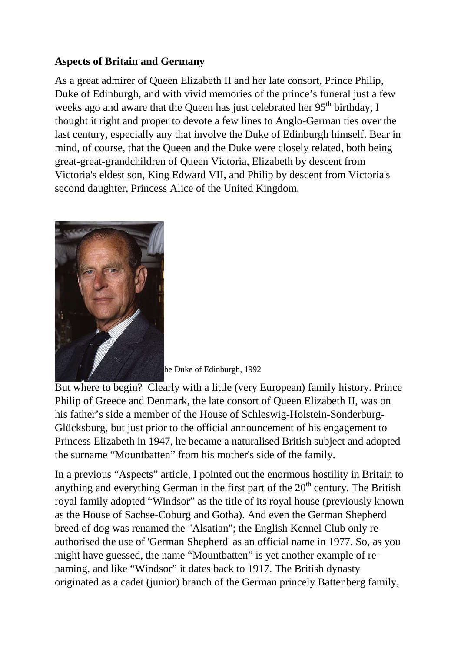## **Aspects of Britain and Germany**

As a great admirer of Queen Elizabeth II and her late consort, Prince Philip, Duke of Edinburgh, and with vivid memories of the prince's funeral just a few weeks ago and aware that the Queen has just celebrated her  $95<sup>th</sup>$  birthday, I thought it right and proper to devote a few lines to Anglo-German ties over the last century, especially any that involve the Duke of Edinburgh himself. Bear in mind, of course, that the Queen and the Duke were closely related, both being great-great-grandchildren of Queen Victoria, Elizabeth by descent from Victoria's eldest son, King Edward VII, and Philip by descent from Victoria's second daughter, Princess Alice of the United Kingdom.



he Duke of Edinburgh, 1992

But where to begin? Clearly with a little (very European) family history. Prince Philip of Greece and Denmark, the late consort of Queen Elizabeth II, was on his father's side a member of the House of Schleswig-Holstein-Sonderburg-Glücksburg, but just prior to the official announcement of his engagement to Princess Elizabeth in 1947, he became a naturalised British subject and adopted the surname "Mountbatten" from his mother's side of the family.

In a previous "Aspects" article, I pointed out the enormous hostility in Britain to anything and everything German in the first part of the  $20<sup>th</sup>$  century. The British royal family adopted "Windsor" as the title of its royal house (previously known as the House of Sachse-Coburg and Gotha). And even the German Shepherd breed of dog was renamed the "Alsatian"; the English Kennel Club only reauthorised the use of 'German Shepherd' as an official name in 1977. So, as you might have guessed, the name "Mountbatten" is yet another example of renaming, and like "Windsor" it dates back to 1917. The British dynasty originated as a cadet (junior) branch of the German princely Battenberg family,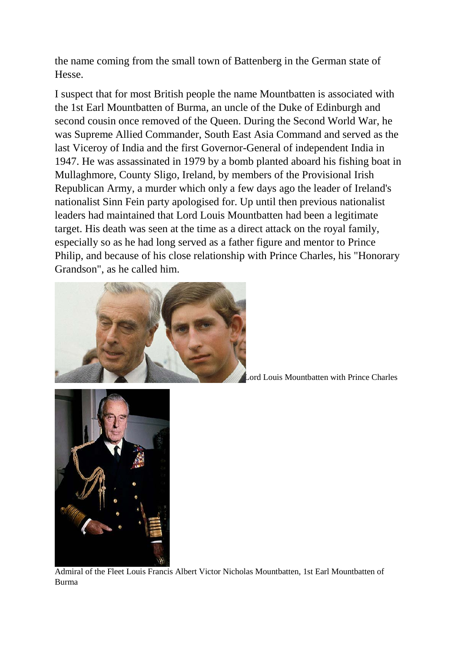the name coming from the small town of Battenberg in the German state of Hesse.

I suspect that for most British people the name Mountbatten is associated with the 1st Earl Mountbatten of Burma, an uncle of the Duke of Edinburgh and second cousin once removed of the Queen. During the Second World War, he was Supreme Allied Commander, South East Asia Command and served as the last Viceroy of India and the first Governor-General of independent India in 1947. He was assassinated in 1979 by a bomb planted aboard his fishing boat in Mullaghmore, County Sligo, Ireland, by members of the Provisional Irish Republican Army, a murder which only a few days ago the leader of Ireland's nationalist Sinn Fein party apologised for. Up until then previous nationalist leaders had maintained that Lord Louis Mountbatten had been a legitimate target. His death was seen at the time as a direct attack on the royal family, especially so as he had long served as a father figure and mentor to Prince Philip, and because of his close relationship with Prince Charles, his "Honorary Grandson", as he called him.



Lord Louis Mountbatten with Prince Charles



Admiral of the Fleet Louis Francis Albert Victor Nicholas Mountbatten, 1st Earl Mountbatten of Burma